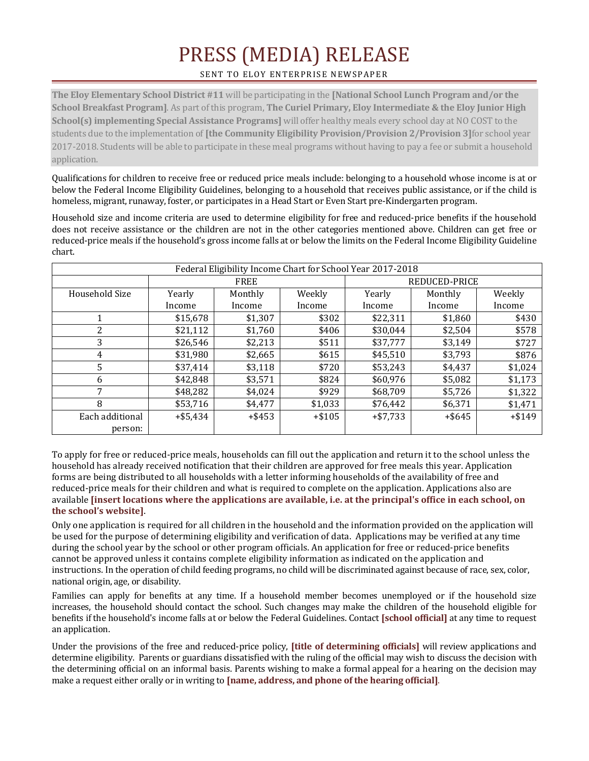## PRESS (MEDIA) RELEASE

## SENT TO ELOY ENTERPRISE NEWSPAPER

**The Eloy Elementary School District #11** will be participating in the **[National School Lunch Program and/or the School Breakfast Program]**. As part of this program, **The Curiel Primary, Eloy Intermediate & the Eloy Junior High School(s) implementing Special Assistance Programs]** will offer healthy meals every school day at NO COST to the students due to the implementation of **[the Community Eligibility Provision/Provision 2/Provision 3]**for school year 2017-2018. Students will be able to participate in these meal programs without having to pay a fee or submit a household application.

Qualifications for children to receive free or reduced price meals include: belonging to a household whose income is at or below the Federal Income Eligibility Guidelines, belonging to a household that receives public assistance, or if the child is homeless, migrant, runaway, foster, or participates in a Head Start or Even Start pre-Kindergarten program.

Household size and income criteria are used to determine eligibility for free and reduced-price benefits if the household does not receive assistance or the children are not in the other categories mentioned above. Children can get free or reduced-price meals if the household's gross income falls at or below the limits on the Federal Income Eligibility Guideline chart.

| Federal Eligibility Income Chart for School Year 2017-2018 |             |           |          |               |           |          |
|------------------------------------------------------------|-------------|-----------|----------|---------------|-----------|----------|
|                                                            | <b>FREE</b> |           |          | REDUCED-PRICE |           |          |
| Household Size                                             | Yearly      | Monthly   | Weekly   | Yearly        | Monthly   | Weekly   |
|                                                            | Income      | Income    | Income   | Income        | Income    | Income   |
|                                                            | \$15,678    | \$1,307   | \$302    | \$22,311      | \$1,860   | \$430    |
|                                                            | \$21,112    | \$1,760   | \$406    | \$30.044      | \$2,504   | \$578    |
| 3                                                          | \$26,546    | \$2,213   | \$511    | \$37,777      | \$3,149   | \$727    |
| 4                                                          | \$31,980    | \$2,665   | \$615    | \$45,510      | \$3,793   | \$876    |
| 5                                                          | \$37,414    | \$3,118   | \$720    | \$53,243      | \$4,437   | \$1,024  |
| 6                                                          | \$42,848    | \$3,571   | \$824    | \$60,976      | \$5,082   | \$1,173  |
| 7                                                          | \$48,282    | \$4,024   | \$929    | \$68,709      | \$5,726   | \$1,322  |
| 8                                                          | \$53,716    | \$4,477   | \$1,033  | \$76,442      | \$6,371   | \$1,471  |
| Each additional                                            | $+$ \$5,434 | $+$ \$453 | $+ $105$ | $+ $7,733$    | $+$ \$645 | $+ $149$ |
| person:                                                    |             |           |          |               |           |          |

To apply for free or reduced-price meals, households can fill out the application and return it to the school unless the household has already received notification that their children are approved for free meals this year. Application forms are being distributed to all households with a letter informing households of the availability of free and reduced-price meals for their children and what is required to complete on the application. Applications also are available **[insert locations where the applications are available, i.e. at the principal's office in each school, on the school's website]**.

Only one application is required for all children in the household and the information provided on the application will be used for the purpose of determining eligibility and verification of data. Applications may be verified at any time during the school year by the school or other program officials. An application for free or reduced-price benefits cannot be approved unless it contains complete eligibility information as indicated on the application and instructions. In the operation of child feeding programs, no child will be discriminated against because of race, sex, color, national origin, age, or disability.

Families can apply for benefits at any time. If a household member becomes unemployed or if the household size increases, the household should contact the school. Such changes may make the children of the household eligible for benefits if the household's income falls at or below the Federal Guidelines. Contact **[school official]** at any time to request an application.

Under the provisions of the free and reduced-price policy, **[title of determining officials]** will review applications and determine eligibility. Parents or guardians dissatisfied with the ruling of the official may wish to discuss the decision with the determining official on an informal basis. Parents wishing to make a formal appeal for a hearing on the decision may make a request either orally or in writing to **[name, address, and phone of the hearing official]**.